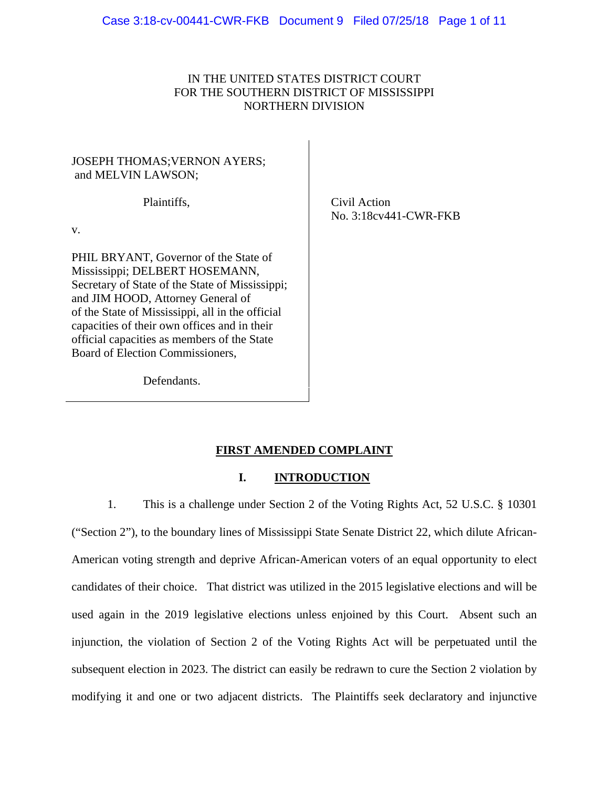# IN THE UNITED STATES DISTRICT COURT FOR THE SOUTHERN DISTRICT OF MISSISSIPPI NORTHERN DIVISION

# JOSEPH THOMAS;VERNON AYERS; and MELVIN LAWSON;

Plaintiffs,

v.

PHIL BRYANT, Governor of the State of Mississippi; DELBERT HOSEMANN, Secretary of State of the State of Mississippi; and JIM HOOD, Attorney General of of the State of Mississippi, all in the official capacities of their own offices and in their official capacities as members of the State Board of Election Commissioners,

Defendants.

Civil Action No. 3:18cv441-CWR-FKB

# **FIRST AMENDED COMPLAINT**

## **I. INTRODUCTION**

1. This is a challenge under Section 2 of the Voting Rights Act, 52 U.S.C. § 10301 ("Section 2"), to the boundary lines of Mississippi State Senate District 22, which dilute African-American voting strength and deprive African-American voters of an equal opportunity to elect candidates of their choice. That district was utilized in the 2015 legislative elections and will be used again in the 2019 legislative elections unless enjoined by this Court. Absent such an injunction, the violation of Section 2 of the Voting Rights Act will be perpetuated until the subsequent election in 2023. The district can easily be redrawn to cure the Section 2 violation by modifying it and one or two adjacent districts. The Plaintiffs seek declaratory and injunctive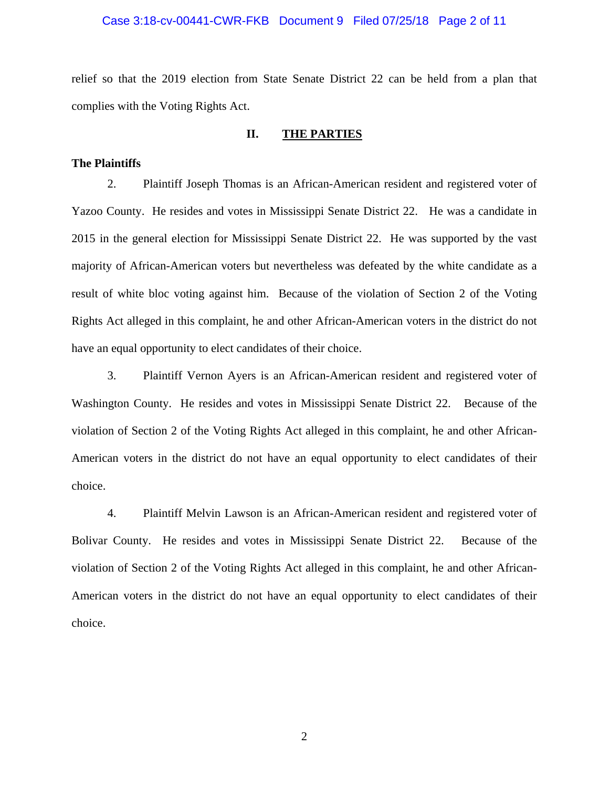#### Case 3:18-cv-00441-CWR-FKB Document 9 Filed 07/25/18 Page 2 of 11

relief so that the 2019 election from State Senate District 22 can be held from a plan that complies with the Voting Rights Act.

## **II. THE PARTIES**

#### **The Plaintiffs**

2. Plaintiff Joseph Thomas is an African-American resident and registered voter of Yazoo County. He resides and votes in Mississippi Senate District 22. He was a candidate in 2015 in the general election for Mississippi Senate District 22. He was supported by the vast majority of African-American voters but nevertheless was defeated by the white candidate as a result of white bloc voting against him. Because of the violation of Section 2 of the Voting Rights Act alleged in this complaint, he and other African-American voters in the district do not have an equal opportunity to elect candidates of their choice.

3. Plaintiff Vernon Ayers is an African-American resident and registered voter of Washington County. He resides and votes in Mississippi Senate District 22. Because of the violation of Section 2 of the Voting Rights Act alleged in this complaint, he and other African-American voters in the district do not have an equal opportunity to elect candidates of their choice.

4. Plaintiff Melvin Lawson is an African-American resident and registered voter of Bolivar County. He resides and votes in Mississippi Senate District 22. Because of the violation of Section 2 of the Voting Rights Act alleged in this complaint, he and other African-American voters in the district do not have an equal opportunity to elect candidates of their choice.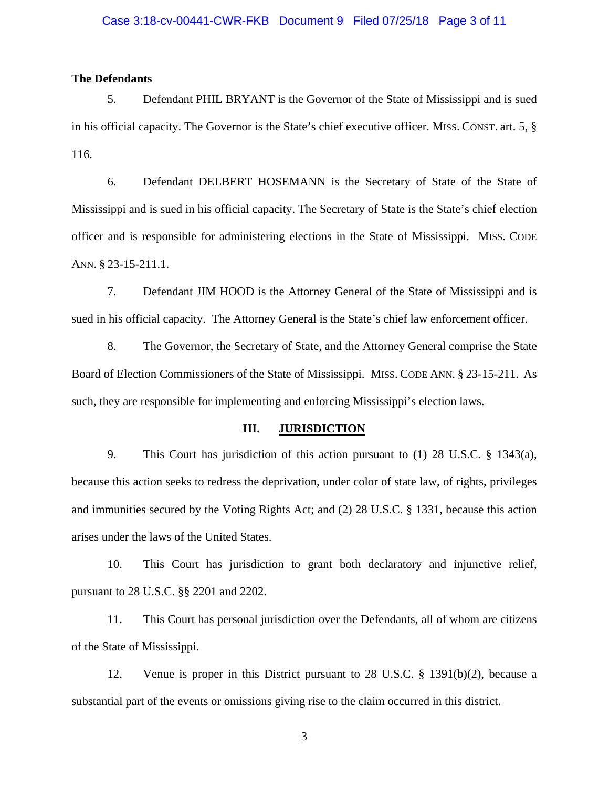#### Case 3:18-cv-00441-CWR-FKB Document 9 Filed 07/25/18 Page 3 of 11

## **The Defendants**

5. Defendant PHIL BRYANT is the Governor of the State of Mississippi and is sued in his official capacity. The Governor is the State's chief executive officer. MISS. CONST. art. 5, § 116.

6. Defendant DELBERT HOSEMANN is the Secretary of State of the State of Mississippi and is sued in his official capacity. The Secretary of State is the State's chief election officer and is responsible for administering elections in the State of Mississippi. MISS. CODE ANN. § 23-15-211.1.

7. Defendant JIM HOOD is the Attorney General of the State of Mississippi and is sued in his official capacity. The Attorney General is the State's chief law enforcement officer.

8. The Governor, the Secretary of State, and the Attorney General comprise the State Board of Election Commissioners of the State of Mississippi. MISS. CODE ANN. § 23-15-211. As such, they are responsible for implementing and enforcing Mississippi's election laws.

#### **III. JURISDICTION**

9. This Court has jurisdiction of this action pursuant to (1) 28 U.S.C. § 1343(a), because this action seeks to redress the deprivation, under color of state law, of rights, privileges and immunities secured by the Voting Rights Act; and (2) 28 U.S.C. § 1331, because this action arises under the laws of the United States.

10. This Court has jurisdiction to grant both declaratory and injunctive relief, pursuant to 28 U.S.C. §§ 2201 and 2202.

11. This Court has personal jurisdiction over the Defendants, all of whom are citizens of the State of Mississippi.

12. Venue is proper in this District pursuant to 28 U.S.C. § 1391(b)(2), because a substantial part of the events or omissions giving rise to the claim occurred in this district.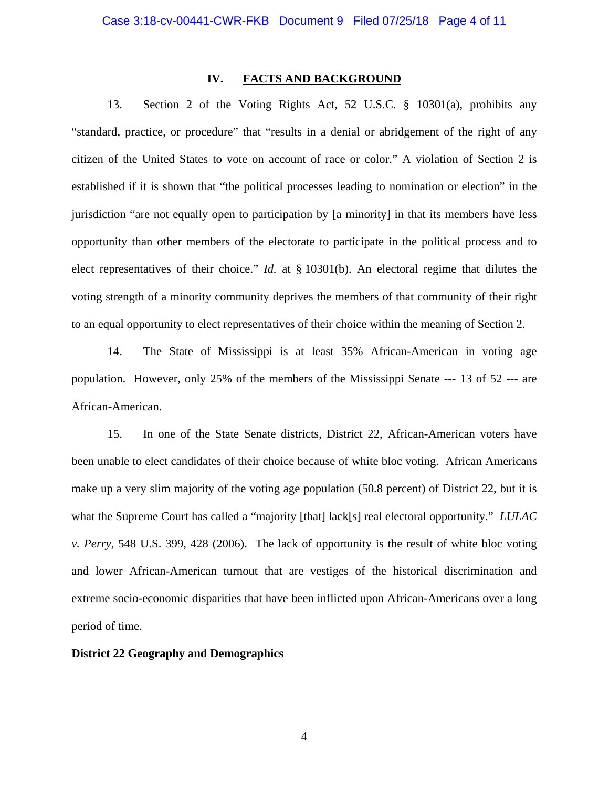## **IV. FACTS AND BACKGROUND**

13. Section 2 of the Voting Rights Act, 52 U.S.C. § 10301(a), prohibits any "standard, practice, or procedure" that "results in a denial or abridgement of the right of any citizen of the United States to vote on account of race or color." A violation of Section 2 is established if it is shown that "the political processes leading to nomination or election" in the jurisdiction "are not equally open to participation by [a minority] in that its members have less opportunity than other members of the electorate to participate in the political process and to elect representatives of their choice." *Id.* at § 10301(b). An electoral regime that dilutes the voting strength of a minority community deprives the members of that community of their right to an equal opportunity to elect representatives of their choice within the meaning of Section 2.

14. The State of Mississippi is at least 35% African-American in voting age population. However, only 25% of the members of the Mississippi Senate --- 13 of 52 --- are African-American.

15. In one of the State Senate districts, District 22, African-American voters have been unable to elect candidates of their choice because of white bloc voting. African Americans make up a very slim majority of the voting age population (50.8 percent) of District 22, but it is what the Supreme Court has called a "majority [that] lack[s] real electoral opportunity." *LULAC v. Perry,* 548 U.S. 399, 428 (2006). The lack of opportunity is the result of white bloc voting and lower African-American turnout that are vestiges of the historical discrimination and extreme socio-economic disparities that have been inflicted upon African-Americans over a long period of time.

#### **District 22 Geography and Demographics**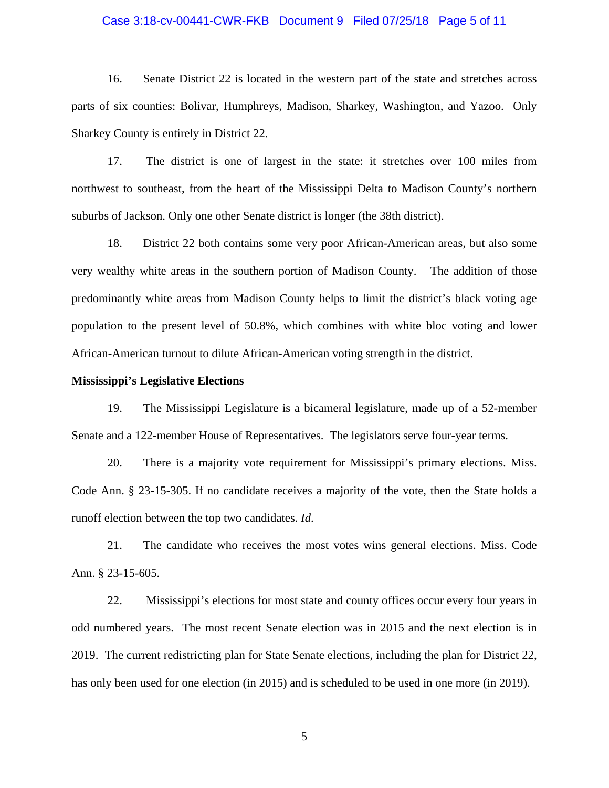#### Case 3:18-cv-00441-CWR-FKB Document 9 Filed 07/25/18 Page 5 of 11

16. Senate District 22 is located in the western part of the state and stretches across parts of six counties: Bolivar, Humphreys, Madison, Sharkey, Washington, and Yazoo. Only Sharkey County is entirely in District 22.

17. The district is one of largest in the state: it stretches over 100 miles from northwest to southeast, from the heart of the Mississippi Delta to Madison County's northern suburbs of Jackson. Only one other Senate district is longer (the 38th district).

18. District 22 both contains some very poor African-American areas, but also some very wealthy white areas in the southern portion of Madison County. The addition of those predominantly white areas from Madison County helps to limit the district's black voting age population to the present level of 50.8%, which combines with white bloc voting and lower African-American turnout to dilute African-American voting strength in the district.

#### **Mississippi's Legislative Elections**

19. The Mississippi Legislature is a bicameral legislature, made up of a 52-member Senate and a 122-member House of Representatives. The legislators serve four-year terms.

20. There is a majority vote requirement for Mississippi's primary elections. Miss. Code Ann. § 23-15-305. If no candidate receives a majority of the vote, then the State holds a runoff election between the top two candidates. *Id*.

21. The candidate who receives the most votes wins general elections. Miss. Code Ann. § 23-15-605.

22. Mississippi's elections for most state and county offices occur every four years in odd numbered years. The most recent Senate election was in 2015 and the next election is in 2019. The current redistricting plan for State Senate elections, including the plan for District 22, has only been used for one election (in 2015) and is scheduled to be used in one more (in 2019).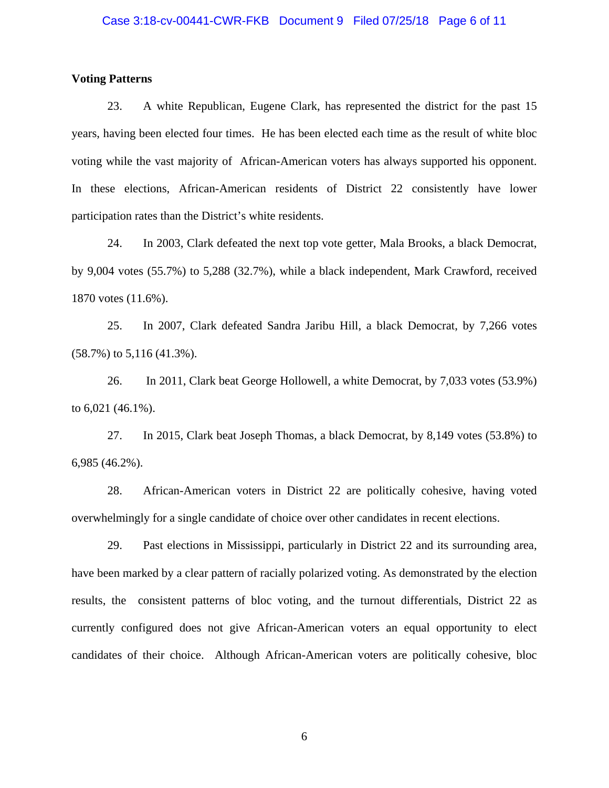#### Case 3:18-cv-00441-CWR-FKB Document 9 Filed 07/25/18 Page 6 of 11

## **Voting Patterns**

23. A white Republican, Eugene Clark, has represented the district for the past 15 years, having been elected four times. He has been elected each time as the result of white bloc voting while the vast majority of African-American voters has always supported his opponent. In these elections, African-American residents of District 22 consistently have lower participation rates than the District's white residents.

24. In 2003, Clark defeated the next top vote getter, Mala Brooks, a black Democrat, by 9,004 votes (55.7%) to 5,288 (32.7%), while a black independent, Mark Crawford, received 1870 votes (11.6%).

25. In 2007, Clark defeated Sandra Jaribu Hill, a black Democrat, by 7,266 votes (58.7%) to 5,116 (41.3%).

26. In 2011, Clark beat George Hollowell, a white Democrat, by 7,033 votes (53.9%) to 6,021 (46.1%).

27. In 2015, Clark beat Joseph Thomas, a black Democrat, by 8,149 votes (53.8%) to 6,985 (46.2%).

28. African-American voters in District 22 are politically cohesive, having voted overwhelmingly for a single candidate of choice over other candidates in recent elections.

29. Past elections in Mississippi, particularly in District 22 and its surrounding area, have been marked by a clear pattern of racially polarized voting. As demonstrated by the election results, the consistent patterns of bloc voting, and the turnout differentials, District 22 as currently configured does not give African-American voters an equal opportunity to elect candidates of their choice. Although African-American voters are politically cohesive, bloc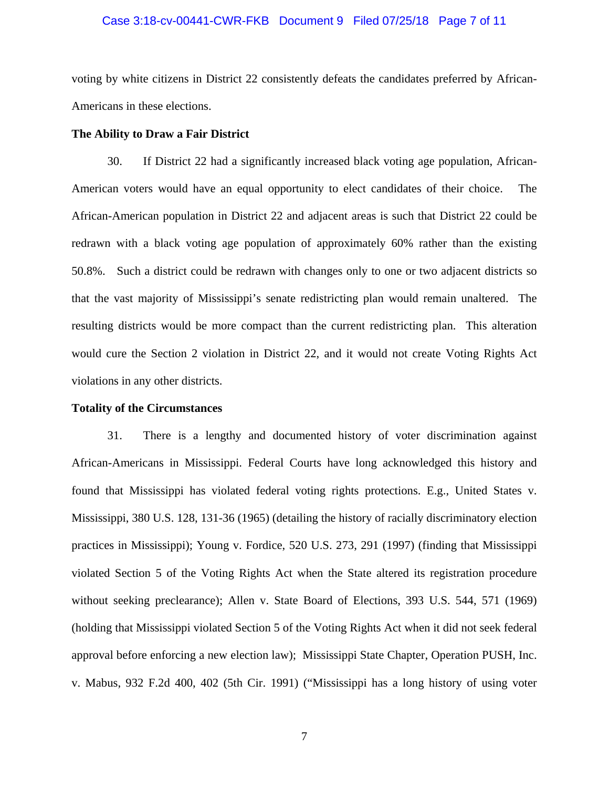#### Case 3:18-cv-00441-CWR-FKB Document 9 Filed 07/25/18 Page 7 of 11

voting by white citizens in District 22 consistently defeats the candidates preferred by African-Americans in these elections.

## **The Ability to Draw a Fair District**

30. If District 22 had a significantly increased black voting age population, African-American voters would have an equal opportunity to elect candidates of their choice. The African-American population in District 22 and adjacent areas is such that District 22 could be redrawn with a black voting age population of approximately 60% rather than the existing 50.8%. Such a district could be redrawn with changes only to one or two adjacent districts so that the vast majority of Mississippi's senate redistricting plan would remain unaltered. The resulting districts would be more compact than the current redistricting plan. This alteration would cure the Section 2 violation in District 22, and it would not create Voting Rights Act violations in any other districts.

#### **Totality of the Circumstances**

31. There is a lengthy and documented history of voter discrimination against African-Americans in Mississippi. Federal Courts have long acknowledged this history and found that Mississippi has violated federal voting rights protections. E.g., United States v. Mississippi, 380 U.S. 128, 131-36 (1965) (detailing the history of racially discriminatory election practices in Mississippi); Young v. Fordice, 520 U.S. 273, 291 (1997) (finding that Mississippi violated Section 5 of the Voting Rights Act when the State altered its registration procedure without seeking preclearance); Allen v. State Board of Elections, 393 U.S. 544, 571 (1969) (holding that Mississippi violated Section 5 of the Voting Rights Act when it did not seek federal approval before enforcing a new election law); Mississippi State Chapter, Operation PUSH, Inc. v. Mabus, 932 F.2d 400, 402 (5th Cir. 1991) ("Mississippi has a long history of using voter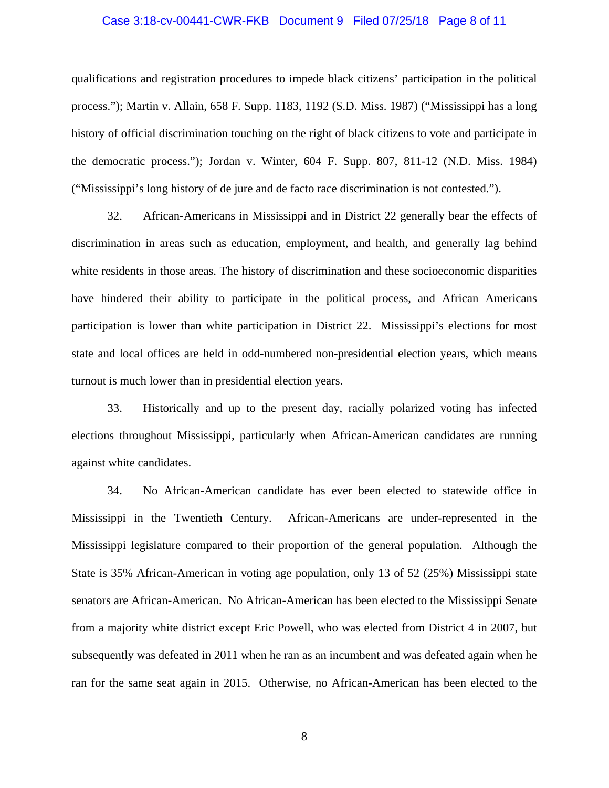#### Case 3:18-cv-00441-CWR-FKB Document 9 Filed 07/25/18 Page 8 of 11

qualifications and registration procedures to impede black citizens' participation in the political process."); Martin v. Allain, 658 F. Supp. 1183, 1192 (S.D. Miss. 1987) ("Mississippi has a long history of official discrimination touching on the right of black citizens to vote and participate in the democratic process."); Jordan v. Winter, 604 F. Supp. 807, 811-12 (N.D. Miss. 1984) ("Mississippi's long history of de jure and de facto race discrimination is not contested.").

32. African-Americans in Mississippi and in District 22 generally bear the effects of discrimination in areas such as education, employment, and health, and generally lag behind white residents in those areas. The history of discrimination and these socioeconomic disparities have hindered their ability to participate in the political process, and African Americans participation is lower than white participation in District 22. Mississippi's elections for most state and local offices are held in odd-numbered non-presidential election years, which means turnout is much lower than in presidential election years.

33. Historically and up to the present day, racially polarized voting has infected elections throughout Mississippi, particularly when African-American candidates are running against white candidates.

 34. No African-American candidate has ever been elected to statewide office in Mississippi in the Twentieth Century. African-Americans are under-represented in the Mississippi legislature compared to their proportion of the general population. Although the State is 35% African-American in voting age population, only 13 of 52 (25%) Mississippi state senators are African-American. No African-American has been elected to the Mississippi Senate from a majority white district except Eric Powell, who was elected from District 4 in 2007, but subsequently was defeated in 2011 when he ran as an incumbent and was defeated again when he ran for the same seat again in 2015. Otherwise, no African-American has been elected to the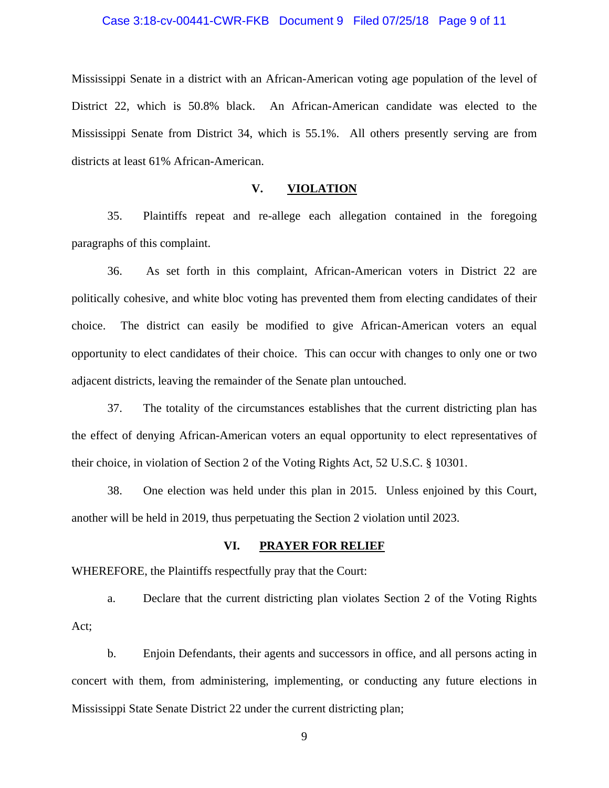#### Case 3:18-cv-00441-CWR-FKB Document 9 Filed 07/25/18 Page 9 of 11

Mississippi Senate in a district with an African-American voting age population of the level of District 22, which is 50.8% black. An African-American candidate was elected to the Mississippi Senate from District 34, which is 55.1%. All others presently serving are from districts at least 61% African-American.

## **V. VIOLATION**

 35. Plaintiffs repeat and re-allege each allegation contained in the foregoing paragraphs of this complaint.

 36. As set forth in this complaint, African-American voters in District 22 are politically cohesive, and white bloc voting has prevented them from electing candidates of their choice. The district can easily be modified to give African-American voters an equal opportunity to elect candidates of their choice. This can occur with changes to only one or two adjacent districts, leaving the remainder of the Senate plan untouched.

 37. The totality of the circumstances establishes that the current districting plan has the effect of denying African-American voters an equal opportunity to elect representatives of their choice, in violation of Section 2 of the Voting Rights Act, 52 U.S.C. § 10301.

 38. One election was held under this plan in 2015. Unless enjoined by this Court, another will be held in 2019, thus perpetuating the Section 2 violation until 2023.

## **VI. PRAYER FOR RELIEF**

WHEREFORE, the Plaintiffs respectfully pray that the Court:

a. Declare that the current districting plan violates Section 2 of the Voting Rights Act;

b. Enjoin Defendants, their agents and successors in office, and all persons acting in concert with them, from administering, implementing, or conducting any future elections in Mississippi State Senate District 22 under the current districting plan;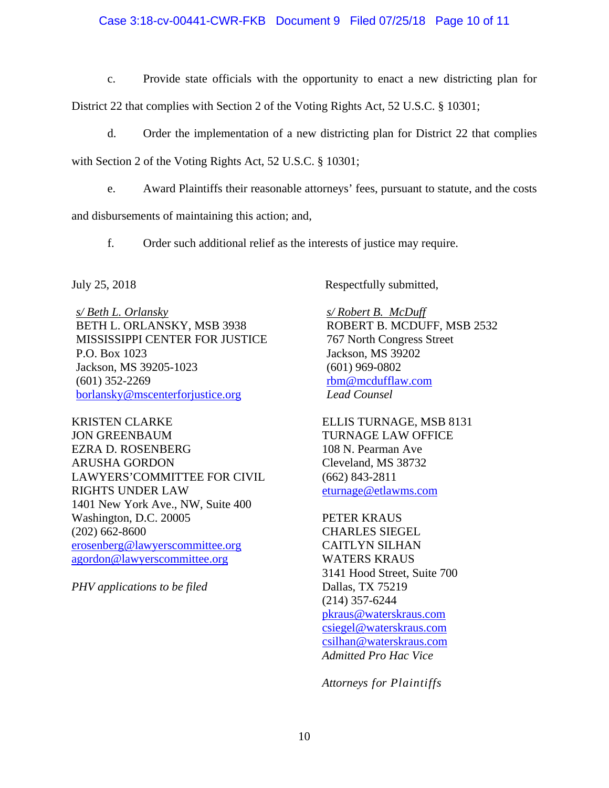## Case 3:18-cv-00441-CWR-FKB Document 9 Filed 07/25/18 Page 10 of 11

c. Provide state officials with the opportunity to enact a new districting plan for

District 22 that complies with Section 2 of the Voting Rights Act, 52 U.S.C. § 10301;

d. Order the implementation of a new districting plan for District 22 that complies

with Section 2 of the Voting Rights Act, 52 U.S.C. § 10301;

e. Award Plaintiffs their reasonable attorneys' fees, pursuant to statute, and the costs

and disbursements of maintaining this action; and,

f. Order such additional relief as the interests of justice may require.

*s/ Beth L. Orlansky*  BETH L. ORLANSKY, MSB 3938 MISSISSIPPI CENTER FOR JUSTICE P.O. Box 1023 Jackson, MS 39205-1023 (601) 352-2269 borlansky@mscenterforjustice.org

KRISTEN CLARKE JON GREENBAUM EZRA D. ROSENBERG ARUSHA GORDON LAWYERS'COMMITTEE FOR CIVIL RIGHTS UNDER LAW 1401 New York Ave., NW, Suite 400 Washington, D.C. 20005 (202) 662-8600 erosenberg@lawyerscommittee.org agordon@lawyerscommittee.org

*PHV applications to be filed* 

July 25, 2018 Respectfully submitted,

*s/ Robert B. McDuff*  ROBERT B. MCDUFF, MSB 2532 767 North Congress Street Jackson, MS 39202 (601) 969-0802 rbm@mcdufflaw.com *Lead Counsel* 

ELLIS TURNAGE, MSB 8131 TURNAGE LAW OFFICE 108 N. Pearman Ave Cleveland, MS 38732 (662) 843-2811 eturnage@etlawms.com

PETER KRAUS CHARLES SIEGEL CAITLYN SILHAN WATERS KRAUS 3141 Hood Street, Suite 700 Dallas, TX 75219 (214) 357-6244 pkraus@waterskraus.com csiegel@waterskraus.com csilhan@waterskraus.com *Admitted Pro Hac Vice* 

*Attorneys for Plaintiffs*